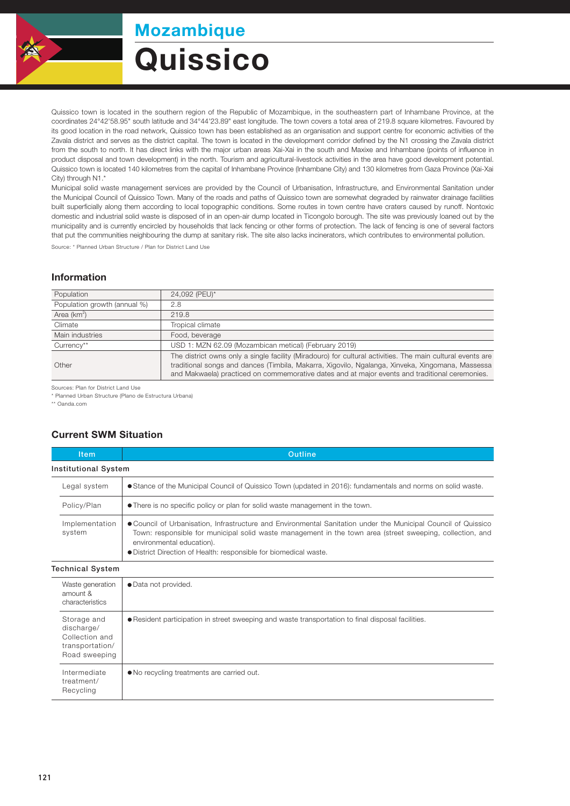

## **Quissico** Mozambique

Quissico town is located in the southern region of the Republic of Mozambique, in the southeastern part of Inhambane Province, at the coordinates 24°42'58.95" south latitude and 34°44'23.89" east longitude. The town covers a total area of 219.8 square kilometres. Favoured by its good location in the road network, Quissico town has been established as an organisation and support centre for economic activities of the Zavala district and serves as the district capital. The town is located in the development corridor defined by the N1 crossing the Zavala district from the south to north. It has direct links with the major urban areas Xai-Xai in the south and Maxixe and Inhambane (points of influence in product disposal and town development) in the north. Tourism and agricultural-livestock activities in the area have good development potential. Quissico town is located 140 kilometres from the capital of Inhambane Province (Inhambane City) and 130 kilometres from Gaza Province (Xai-Xai City) through N1.\*

Municipal solid waste management services are provided by the Council of Urbanisation, Infrastructure, and Environmental Sanitation under the Municipal Council of Quissico Town. Many of the roads and paths of Quissico town are somewhat degraded by rainwater drainage facilities built superficially along them according to local topographic conditions. Some routes in town centre have craters caused by runoff. Nontoxic domestic and industrial solid waste is disposed of in an open-air dump located in Ticongolo borough. The site was previously loaned out by the municipality and is currently encircled by households that lack fencing or other forms of protection. The lack of fencing is one of several factors that put the communities neighbouring the dump at sanitary risk. The site also lacks incinerators, which contributes to environmental pollution.

Source: \* Planned Urban Structure / Plan for District Land Use

## Information

| Population                   | 24,092 (PEU)*                                                                                                                                                                                                                                                                                                    |  |
|------------------------------|------------------------------------------------------------------------------------------------------------------------------------------------------------------------------------------------------------------------------------------------------------------------------------------------------------------|--|
| Population growth (annual %) | 2.8                                                                                                                                                                                                                                                                                                              |  |
| Area $(km^2)$                | 219.8                                                                                                                                                                                                                                                                                                            |  |
| Climate                      | Tropical climate                                                                                                                                                                                                                                                                                                 |  |
| Main industries              | Food, beverage                                                                                                                                                                                                                                                                                                   |  |
| Currency**                   | USD 1: MZN 62.09 (Mozambican metical) (February 2019)                                                                                                                                                                                                                                                            |  |
| Other                        | The district owns only a single facility (Miradouro) for cultural activities. The main cultural events are<br>traditional songs and dances (Timbila, Makarra, Xigovilo, Ngalanga, Xinveka, Xingomana, Massessa<br>and Makwaela) practiced on commemorative dates and at major events and traditional ceremonies. |  |

Sources: Plan for District Land Use

\* Planned Urban Structure (Plano de Estructura Urbana)

\*\* Oanda.com

## Current SWM Situation

|                             | <b>Item</b>              | Outline                                                                                                                                                                                                                                                                                                                       |  |  |  |
|-----------------------------|--------------------------|-------------------------------------------------------------------------------------------------------------------------------------------------------------------------------------------------------------------------------------------------------------------------------------------------------------------------------|--|--|--|
| <b>Institutional System</b> |                          |                                                                                                                                                                                                                                                                                                                               |  |  |  |
|                             | Legal system             | • Stance of the Municipal Council of Quissico Town (updated in 2016): fundamentals and norms on solid waste.                                                                                                                                                                                                                  |  |  |  |
|                             | Policy/Plan              | • There is no specific policy or plan for solid waste management in the town.                                                                                                                                                                                                                                                 |  |  |  |
|                             | Implementation<br>system | ● Council of Urbanisation, Infrastructure and Environmental Sanitation under the Municipal Council of Quissico<br>Town: responsible for municipal solid waste management in the town area (street sweeping, collection, and<br>environmental education).<br>• District Direction of Health: responsible for biomedical waste. |  |  |  |

Technical System

| Waste generation<br>amount &<br>characteristics                                 | • Data not provided.                                                                               |
|---------------------------------------------------------------------------------|----------------------------------------------------------------------------------------------------|
| Storage and<br>discharge/<br>Collection and<br>transportation/<br>Road sweeping | • Resident participation in street sweeping and waste transportation to final disposal facilities. |
| Intermediate<br>treatment/<br>Recycling                                         | • No recycling treatments are carried out.                                                         |